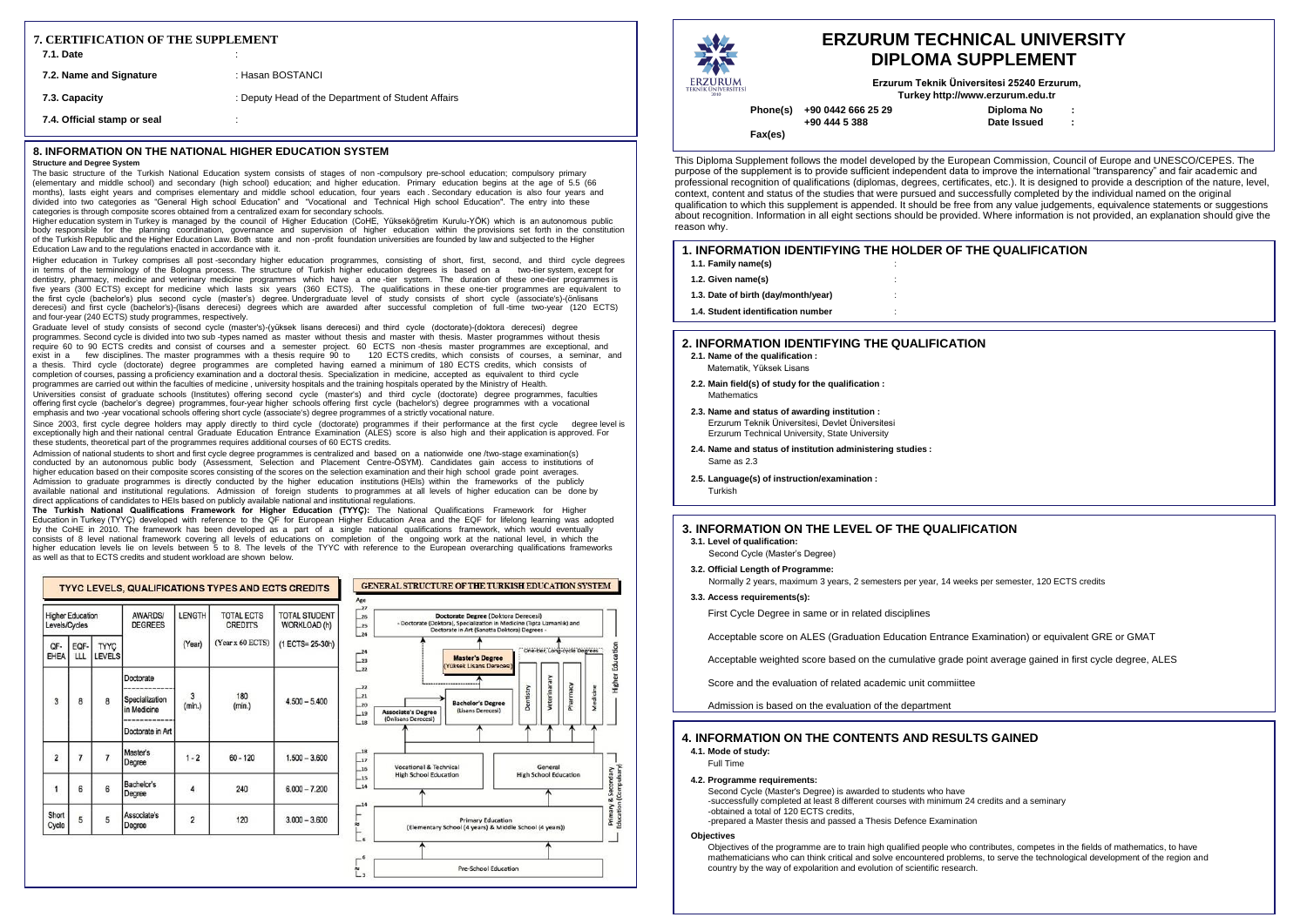**: : Diploma No Date Issued**

## **IE QUALIFICATION**

- 
- 

**Phone(s) +90 0442 666 25 29 +90 444 5 388**

**Fax(es)**

# **ERZURUM TECHNICAL UNIVERSITY DIPLOMA SUPPLEMENT**

**Erzurum Teknik Üniversitesi 25240 Erzurum, Turke[y http://www.erzurum.edu.tr](http://www.erzurum.edu.tr/)**

### **8. INFORMATION ON THE NATIONAL HIGHER EDUCATION SYSTEM**

### **Structure and Degree System**

The basic structure of the Turkish National Education system consists of stages of non -compulsory pre-school education; compulsory primary (elementary and middle school) and secondary (high school) education; and higher education. Primary education begins at the age of 5.5 (66 months), lasts eight years and comprises elementary and middle school education, four years each . Secondary education is also four years and divided into two categories as "General High school Education" and "Vocational and Technical High school Education". The entry into these categories is through composite scores obtained from a centralized exam for secondary schools.

Higher education system in Turkey is managed by the council of Higher Education (CoHE, Yükseköğretim Kurulu-YÖK) which is an autonomous public body responsible for the planning coordination, governance and supervision of higher education within the provisions set forth in the constitution of the Turkish Republic and the Higher Education Law. Both state and non -profit foundation universities are founded by law and subjected to the Higher Education Law and to the regulations enacted in accordance with it.

Higher education in Turkey comprises all post -secondary higher education programmes, consisting of short, first, second, and third cycle degrees in terms of the terminology of the Bologna process. The structure of Turkish higher education degrees is based on a two-tier system, except for dentistry, pharmacy, medicine and veterinary medicine programmes which have a one -tier system. The duration of these one-tier programmes is five years (300 ECTS) except for medicine which lasts six years (360 ECTS). The qualifications in these one-tier programmes are equivalent to the first cycle (bachelor's) plus second cycle (master's) degree. Undergraduate level of study consists of short cycle (associate's)-(önlisans derecesi) and first cycle (bachelor's)-(lisans derecesi) degrees which are awarded after successful completion of full -time two-year (120 ECTS) and four-year (240 ECTS) study programmes, respectively.

Graduate level of study consists of second cycle (master's)-(yüksek lisans derecesi) and third cycle (doctorate)-(doktora derecesi) degree programmes. Second cycle is divided into two sub -types named as master without thesis and master with thesis. Master programmes without thesis require 60 to 90 ECTS credits and consist of courses and a semester project. 60 ECTS non -thesis master programmes are exceptional, and exist in a few disciplines. The master programmes with a thesis require 90 to 120 ECTS credits, which consists of courses, a seminar, and a thesis. Third cycle (doctorate) degree programmes are completed having earned a minimum of 180 ECTS credits, which consists of completion of courses, passing a proficiency examination and a doctoral thesis. Specialization in medicine, accepted as equivalent to third cycle programmes are carried out within the faculties of medicine, university hospitals and the training hospitals operated by the Ministry of Health. Universities consist of graduate schools (Institutes) offering second cycle (master's) and third cycle (doctorate) degree programmes, faculties offering first cycle (bachelor's degree) programmes, four-year higher schools offering first cycle (bachelor's) degree programmes with a vocational emphasis and two -year vocational schools offering short cycle (associate's) degree programmes of a strictly vocational nature.

Since 2003, first cycle degree holders may apply directly to third cycle (doctorate) programmes if their performance at the first cycle degree level is exceptionally high and their national central Graduate Education Entrance Examination (ALES) score is also high and their application is approved. For these students, theoretical part of the programmes requires additional courses of 60 ECTS credits.

Admission of national students to short and first cycle degree programmes is centralized and based on a nationwide one /two-stage examination(s) conducted by an autonomous public body (Assessment, Selection and Placement Centre-ÖSYM). Candidates gain access to institutions of higher education based on their composite scores consisting of the scores on the selection examination and their high school grade point averages. Admission to graduate programmes is directly conducted by the higher education institutions (HEIs) within the frameworks of the publicly available national and institutional regulations. Admission of foreign students to programmes at all levels of higher education can be done by direct applications of candidates to HEIs based on publicly available national and institutional regulations.

**The Turkish National Qualifications Framework for Higher Education (TYYÇ):** The National Qualifications Framework for Higher Education in Turkey (TYYÇ) developed with reference to the QF for European Higher Education Area and the EQF for lifelong learning was adopted by the CoHE in 2010. The framework has been developed as a part of a single national qualifications framework, which would eventually consists of 8 level national framework covering all levels of educations on completion of the ongoing work at the national level, in which the higher education levels lie on levels between 5 to 8. The levels of the TYYC with reference to the European overarching qualifications frameworks as well as that to ECTS credits and student workload are shown below.

| <b>Higher Education</b><br>Levels/Cycles |                |                       | <b>AWARDS/</b><br><b>DEGREES</b>                               | <b>LENGTH</b>           | <b>TOTAL ECTS</b><br><b>CREDITS</b> | <b>TOTAL STUDENT</b><br>WORKLOAD (h) |  |
|------------------------------------------|----------------|-----------------------|----------------------------------------------------------------|-------------------------|-------------------------------------|--------------------------------------|--|
| QF-<br>EHEA                              | EQF-<br>LLL    | TYYÇ<br><b>LEVELS</b> |                                                                | (Year)                  | (Year x 60 ECTS)                    | (1 ECTS= 25-30h)                     |  |
| 3                                        | 8              | 8                     | Doctorate<br>Specialization<br>in Medicine<br>Doctorate in Art | 3<br>(min.)             | 180<br>(min.)                       | $4.500 - 5.400$                      |  |
| $\overline{2}$                           | $\overline{7}$ | 7                     | Master's<br>Degree                                             | $1 - 2$                 | $60 - 120$                          | $1.500 - 3.600$                      |  |
| $\mathbf{1}$                             | 6              | 6                     | Bachelor's<br>Degree                                           | $\overline{4}$          | 240                                 | $6,000 - 7,200$                      |  |
| Short<br>Cycle                           | 5              | 5                     | Associate's<br>Degree                                          | $\overline{\mathbf{2}}$ | 120                                 | $3.000 - 3.600$                      |  |

## GENERAL STRUCTURE OF THE TURKISH EDUCATION SYSTEM



| ERZURUM<br><b>TEKNİK ÜNİVERSİTESİ</b> |
|---------------------------------------|

This Diploma Supplement follows the model developed by the European Commission, Council of Europe and UNESCO/CEPES. The purpose of the supplement is to provide sufficient independent data to improve the international "transparency" and fair academic and professional recognition of qualifications (diplomas, degrees, certificates, etc.). It is designed to provide a description of the nature, level, context, content and status of the studies that were pursued and successfully completed by the individual named on the original qualification to which this supplement is appended. It should be free from any value judgements, equivalence statements or suggestions about recognition. Information in all eight sections should be provided. Where information is not provided, an explanation should give the reason why.

### **4. INFORMATION ON THE CONTENTS AND RESULTS GAINED 4.1. Mode of study:**

- Full Time
- **4.2. Programme requirements:**

Second Cycle (Master's Degree) is awarded to students who have -successfully completed at least 8 different courses with minimum 24 credits and a seminary -obtained a total of 120 ECTS credits, -prepared a Master thesis and passed a Thesis Defence Examination

### **Objectives**

Objectives of the programme are to train high qualified people who contributes, competes in the fields of mathematics, to have mathematicians who can think critical and solve encountered problems, to serve the technological development of the region and country by the way of expolarition and evolution of scientific research.

### **2. INFORMATION IDENTIFYING THE QUALIFICATION**

- **2.1. Name of the qualification :**
- Matematik, Yüksek Lisans
- **2.2. Main field(s) of study for the qualification :** Mathematics
- **2.3. Name and status of awarding institution :**  Erzurum Teknik Üniversitesi, Devlet Üniversitesi Erzurum Technical University, State University
- **2.4. Name and status of institution administering studies :** Same as 2.3
- **2.5. Language(s) of instruction/examination :** Turkish

| <b>1. INFORMATION IDENTIFYING THE HOLDER OF TH</b> |   |
|----------------------------------------------------|---|
| 1.1. Family name(s)                                | ٠ |
| 1.2. Given name(s)                                 |   |
| 1.3. Date of birth (day/month/year)                |   |
| 1.4. Student identification number                 |   |
|                                                    |   |

| 7. CERTIFICATION OF THE SUPPLEMENT<br><b>7.1. Date</b> |                                                    |  |  |  |
|--------------------------------------------------------|----------------------------------------------------|--|--|--|
| 7.2. Name and Signature                                | : Hasan BOSTANCI                                   |  |  |  |
| 7.3. Capacity                                          | : Deputy Head of the Department of Student Affairs |  |  |  |
| 7.4. Official stamp or seal                            |                                                    |  |  |  |

## **3. INFORMATION ON THE LEVEL OF THE QUALIFICATION**

## **3.1. Level of qualification:**

- Second Cycle (Master's Degree)
- **3.2. Official Length of Programme:**

Normally 2 years, maximum 3 years, 2 semesters per year, 14 weeks per semester, 120 ECTS credits

- **3.3. Access requirements(s):**
	- First Cycle Degree in same or in related disciplines

Acceptable score on ALES (Graduation Education Entrance Examination) or equivalent GRE or GMAT

Acceptable weighted score based on the cumulative grade point average gained in first cycle degree, ALES

Score and the evaluation of related academic unit commiittee

Admission is based on the evaluation of the department